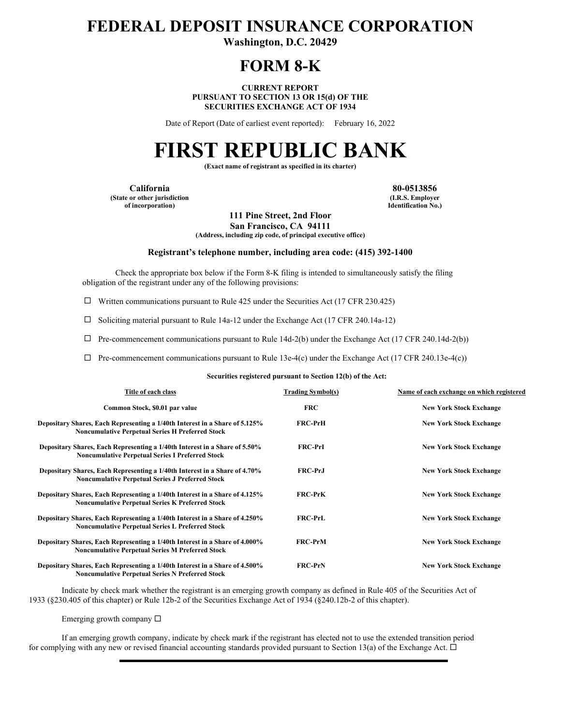# **FEDERAL DEPOSIT INSURANCE CORPORATION**

**Washington, D.C. 20429** 

## **FORM 8-K**

**CURRENT REPORT PURSUANT TO SECTION 13 OR 15(d) OF THE SECURITIES EXCHANGE ACT OF 1934** 

Date of Report (Date of earliest event reported): February 16, 2022

# **FIRST REPUBLIC BANK**

**(Exact name of registrant as specified in its charter)** 

**California 80-0513856 (State or other jurisdiction of incorporation)**

**(I.R.S. Employer Identification No.)**

**111 Pine Street, 2nd Floor San Francisco, CA 94111**

**(Address, including zip code, of principal executive office)** 

#### **Registrant's telephone number, including area code: (415) 392-1400**

Check the appropriate box below if the Form 8-K filing is intended to simultaneously satisfy the filing obligation of the registrant under any of the following provisions:

 $\Box$  Written communications pursuant to Rule 425 under the Securities Act (17 CFR 230.425)

 $\Box$  Soliciting material pursuant to Rule 14a-12 under the Exchange Act (17 CFR 240.14a-12)

 $\Box$  Pre-commencement communications pursuant to Rule 14d-2(b) under the Exchange Act (17 CFR 240.14d-2(b))

 $\Box$  Pre-commencement communications pursuant to Rule 13e-4(c) under the Exchange Act (17 CFR 240.13e-4(c))

**Securities registered pursuant to Section 12(b) of the Act:**

| Title of each class                                                                                                                    | <b>Trading Symbol(s)</b> | Name of each exchange on which registered |
|----------------------------------------------------------------------------------------------------------------------------------------|--------------------------|-------------------------------------------|
| Common Stock, \$0.01 par value                                                                                                         | <b>FRC</b>               | <b>New York Stock Exchange</b>            |
| Depositary Shares, Each Representing a 1/40th Interest in a Share of 5.125%<br><b>Noncumulative Perpetual Series H Preferred Stock</b> | <b>FRC-PrH</b>           | <b>New York Stock Exchange</b>            |
| Depositary Shares, Each Representing a 1/40th Interest in a Share of 5.50%<br><b>Noncumulative Perpetual Series I Preferred Stock</b>  | <b>FRC-PrI</b>           | <b>New York Stock Exchange</b>            |
| Depositary Shares, Each Representing a 1/40th Interest in a Share of 4.70%<br><b>Noncumulative Perpetual Series J Preferred Stock</b>  | <b>FRC-PrJ</b>           | <b>New York Stock Exchange</b>            |
| Depositary Shares, Each Representing a 1/40th Interest in a Share of 4.125%<br><b>Noncumulative Perpetual Series K Preferred Stock</b> | <b>FRC-PrK</b>           | <b>New York Stock Exchange</b>            |
| Depositary Shares, Each Representing a 1/40th Interest in a Share of 4.250%<br><b>Noncumulative Perpetual Series L Preferred Stock</b> | <b>FRC-PrL</b>           | <b>New York Stock Exchange</b>            |
| Depositary Shares, Each Representing a 1/40th Interest in a Share of 4.000%<br><b>Noncumulative Perpetual Series M Preferred Stock</b> | <b>FRC-PrM</b>           | <b>New York Stock Exchange</b>            |
| Depositary Shares, Each Representing a 1/40th Interest in a Share of 4.500%<br><b>Noncumulative Pernetual Series N Preferred Stock</b> | <b>FRC-PrN</b>           | <b>New York Stock Exchange</b>            |

Indicate by check mark whether the registrant is an emerging growth company as defined in Rule 405 of the Securities Act of 1933 (§230.405 of this chapter) or Rule 12b-2 of the Securities Exchange Act of 1934 (§240.12b-2 of this chapter).

Emerging growth company  $\Box$ 

If an emerging growth company, indicate by check mark if the registrant has elected not to use the extended transition period for complying with any new or revised financial accounting standards provided pursuant to Section 13(a) of the Exchange Act.  $\Box$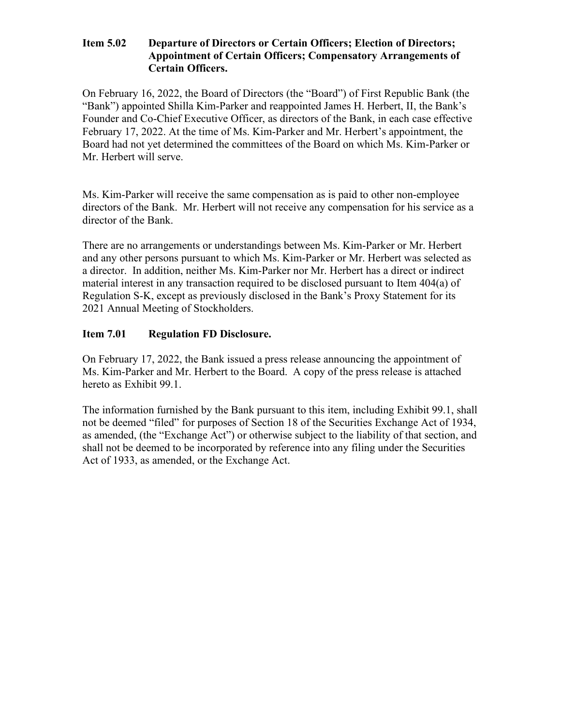#### **Item 5.02 Departure of Directors or Certain Officers; Election of Directors; Appointment of Certain Officers; Compensatory Arrangements of Certain Officers.**

On February 16, 2022, the Board of Directors (the "Board") of First Republic Bank (the "Bank") appointed Shilla Kim-Parker and reappointed James H. Herbert, II, the Bank's Founder and Co-Chief Executive Officer, as directors of the Bank, in each case effective February 17, 2022. At the time of Ms. Kim-Parker and Mr. Herbert's appointment, the Board had not yet determined the committees of the Board on which Ms. Kim-Parker or Mr. Herbert will serve.

Ms. Kim-Parker will receive the same compensation as is paid to other non-employee directors of the Bank. Mr. Herbert will not receive any compensation for his service as a director of the Bank.

There are no arrangements or understandings between Ms. Kim-Parker or Mr. Herbert and any other persons pursuant to which Ms. Kim-Parker or Mr. Herbert was selected as a director. In addition, neither Ms. Kim-Parker nor Mr. Herbert has a direct or indirect material interest in any transaction required to be disclosed pursuant to Item 404(a) of Regulation S-K, except as previously disclosed in the Bank's Proxy Statement for its 2021 Annual Meeting of Stockholders.

#### **Item 7.01 Regulation FD Disclosure.**

On February 17, 2022, the Bank issued a press release announcing the appointment of Ms. Kim-Parker and Mr. Herbert to the Board. A copy of the press release is attached hereto as Exhibit 99.1.

The information furnished by the Bank pursuant to this item, including Exhibit 99.1, shall not be deemed "filed" for purposes of Section 18 of the Securities Exchange Act of 1934, as amended, (the "Exchange Act") or otherwise subject to the liability of that section, and shall not be deemed to be incorporated by reference into any filing under the Securities Act of 1933, as amended, or the Exchange Act.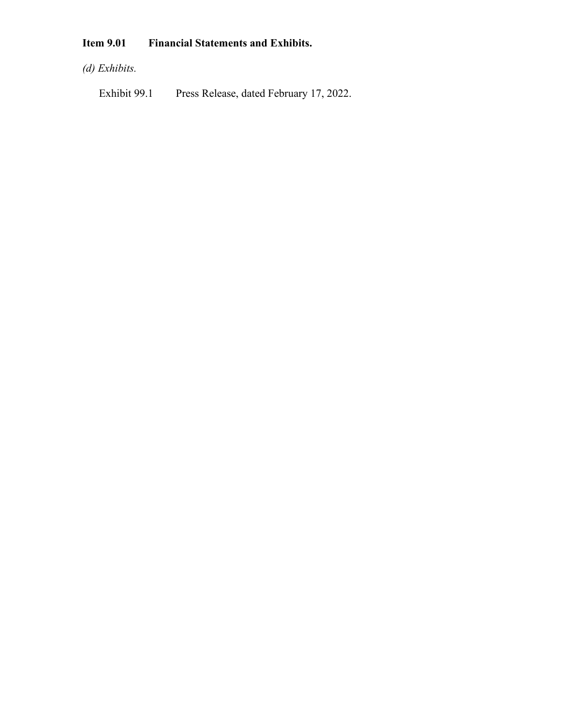# **Item 9.01 Financial Statements and Exhibits.**

*(d) Exhibits.*

Exhibit 99.1 Press Release, dated February 17, 2022.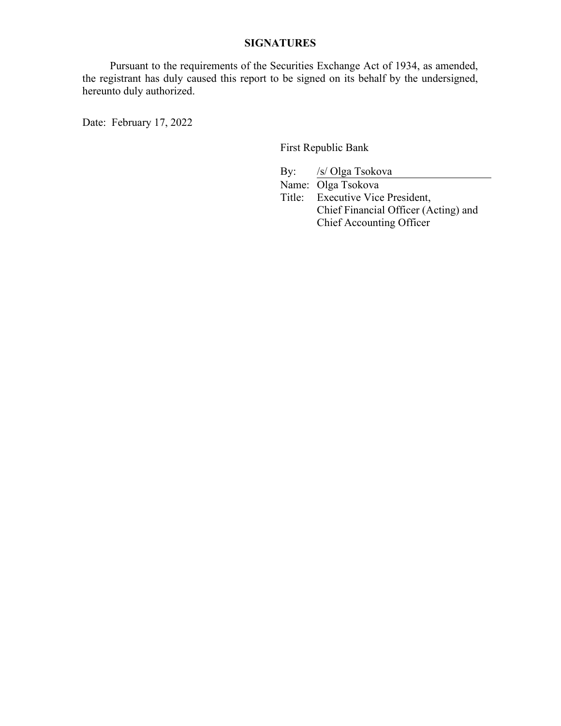### **SIGNATURES**

 Pursuant to the requirements of the Securities Exchange Act of 1934, as amended, the registrant has duly caused this report to be signed on its behalf by the undersigned, hereunto duly authorized.

Date: February 17, 2022

First Republic Bank

By: /s/ Olga Tsokova Name: Olga Tsokova Title: Executive Vice President, Chief Financial Officer (Acting) and Chief Accounting Officer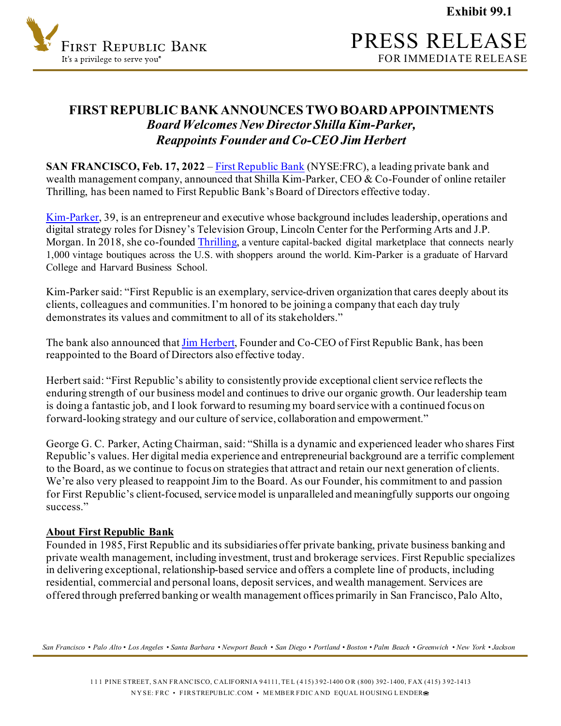**Exhibit 99.1**



### **FIRST REPUBLIC BANK ANNOUNCES TWO BOARD APPOINTMENTS** *Board Welcomes New Director Shilla Kim-Parker, Reappoints Founder and Co-CEO Jim Herbert*

**SAN FRANCISCO, Feb. 17, 2022** [– First Republic Bank](http://www.firstrepublic.com/) (NYSE:FRC), a leading private bank and wealth management company, announced that Shilla Kim-Parker, CEO & Co-Founder of online retailer Thrilling, has been named to First Republic Bank's Board of Directors effective today.

[Kim-Parker,](https://shopthrilling.com/pages/about-shilla) 39, is an entrepreneur and executive whose background includes leadership, operations and digital strategy roles for Disney's Television Group, Lincoln Center for the Performing Arts and J.P. Morgan. In 2018, she co-founde[d Thrilling,](https://shopthrilling.com/) a venture capital-backed digital marketplace that connects nearly 1,000 vintage boutiques across the U.S. with shoppers around the world. Kim-Parker is a graduate of Harvard College and Harvard Business School.

Kim-Parker said: "First Republic is an exemplary, service-driven organization that cares deeply about its clients, colleagues and communities. I'm honored to be joining a company that each day truly demonstrates its values and commitment to all of its stakeholders."

The bank also announced tha[t Jim Herbert](https://www.firstrepublic.com/all-profiles/james-h-herbert-ii), Founder and Co-CEO of First Republic Bank, has been reappointed to the Board of Directors also effective today.

Herbert said: "First Republic's ability to consistently provide exceptional client service reflects the enduring strength of our business model and continues to drive our organic growth. Our leadership team is doing a fantastic job, and I look forward to resuming my board service with a continued focus on forward-looking strategy and our culture of service, collaboration and empowerment."

George G. C. Parker, Acting Chairman, said: "Shilla is a dynamic and experienced leader who shares First Republic's values. Her digital media experience and entrepreneurial background are a terrific complement to the Board, as we continue to focus on strategies that attract and retain our next generation of clients. We're also very pleased to reappoint Jim to the Board. As our Founder, his commitment to and passion for First Republic's client-focused, service model is unparalleled and meaningfully supports our ongoing success<sup>"</sup>

#### **About First Republic Bank**

Founded in 1985, First Republic and its subsidiaries offer private banking, private business banking and private wealth management, including investment, trust and brokerage services. First Republic specializes in delivering exceptional, relationship-based service and offers a complete line of products, including residential, commercial and personal loans, deposit services, and wealth management. Services are offered through preferred banking or wealth management offices primarily in San Francisco, Palo Alto,

*San Francisco • Palo Alto • Los Angeles • Santa Barbara • Newport Beach • San Diego • Portland • Boston • Palm Beach • Greenwich • New York • Jackson*